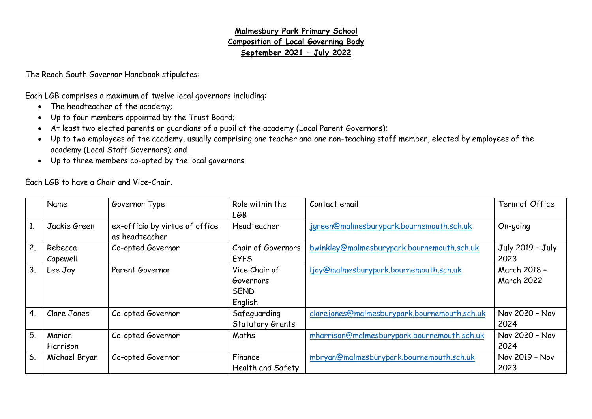## **Malmesbury Park Primary School Composition of Local Governing Body September 2021 – July 2022**

The Reach South Governor Handbook stipulates:

Each LGB comprises a maximum of twelve local governors including:

- The headteacher of the academy;
- Up to four members appointed by the Trust Board;
- At least two elected parents or guardians of a pupil at the academy (Local Parent Governors);
- Up to two employees of the academy, usually comprising one teacher and one non-teaching staff member, elected by employees of the academy (Local Staff Governors); and
- Up to three members co-opted by the local governors.

Each LGB to have a Chair and Vice-Chair.

|                | Name          | Governor Type                  | Role within the         | Contact email                                 | Term of Office    |
|----------------|---------------|--------------------------------|-------------------------|-----------------------------------------------|-------------------|
|                |               |                                | LGB                     |                                               |                   |
|                | Jackie Green  | ex-officio by virtue of office | Headteacher             | jgreen@malmesburypark.bournemouth.sch.uk      | On-going          |
|                |               | as headteacher                 |                         |                                               |                   |
| 2.             | Rebecca       | Co-opted Governor              | Chair of Governors      | bwinkley@malmesburypark.bournemouth.sch.uk    | July 2019 - July  |
|                | Capewell      |                                | <b>EYFS</b>             |                                               | 2023              |
| 3.             | Lee Joy       | Parent Governor                | Vice Chair of           | ljoy@malmesburypark.bournemouth.sch.uk        | March 2018 -      |
|                |               |                                | Governors               |                                               | <b>March 2022</b> |
|                |               |                                | <b>SEND</b>             |                                               |                   |
|                |               |                                | English                 |                                               |                   |
| 4 <sub>1</sub> | Clare Jones   | Co-opted Governor              | Safeguarding            | clare jones@malmesburypark.bournemouth.sch.uk | Nov 2020 - Nov    |
|                |               |                                | <b>Statutory Grants</b> |                                               | 2024              |
| 5.             | Marion        | Co-opted Governor              | Maths                   | mharrison@malmesburypark.bournemouth.sch.uk   | Nov 2020 - Nov    |
|                | Harrison      |                                |                         |                                               | 2024              |
| 6.             | Michael Bryan | Co-opted Governor              | Finance                 | mbryan@malmesburypark.bournemouth.sch.uk      | Nov 2019 - Nov    |
|                |               |                                | Health and Safety       |                                               | 2023              |